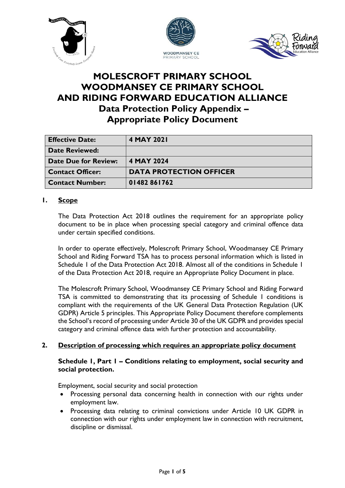





# **MOLESCROFT PRIMARY SCHOOL WOODMANSEY CE PRIMARY SCHOOL AND RIDING FORWARD EDUCATION ALLIANCE Data Protection Policy Appendix – Appropriate Policy Document**

| <b>Effective Date:</b>      | 4 MAY 2021                     |
|-----------------------------|--------------------------------|
| <b>Date Reviewed:</b>       |                                |
| <b>Date Due for Review:</b> | 4 MAY 2024                     |
| <b>Contact Officer:</b>     | <b>DATA PROTECTION OFFICER</b> |
| <b>Contact Number:</b>      | 01482861762                    |

## **1. Scope**

The Data Protection Act 2018 outlines the requirement for an appropriate policy document to be in place when processing special category and criminal offence data under certain specified conditions.

In order to operate effectively, Molescroft Primary School, Woodmansey CE Primary School and Riding Forward TSA has to process personal information which is listed in Schedule 1 of the Data Protection Act 2018. Almost all of the conditions in Schedule 1 of the Data Protection Act 2018, require an Appropriate Policy Document in place.

The Molescroft Primary School, Woodmansey CE Primary School and Riding Forward TSA is committed to demonstrating that its processing of Schedule 1 conditions is compliant with the requirements of the UK General Data Protection Regulation (UK GDPR) Article 5 principles. This Appropriate Policy Document therefore complements the School's record of processing under Article 30 of the UK GDPR and provides special category and criminal offence data with further protection and accountability.

#### **2. Description of processing which requires an appropriate policy document**

#### **Schedule 1, Part 1 – Conditions relating to employment, social security and social protection.**

Employment, social security and social protection

- Processing personal data concerning health in connection with our rights under employment law.
- Processing data relating to criminal convictions under Article 10 UK GDPR in connection with our rights under employment law in connection with recruitment, discipline or dismissal.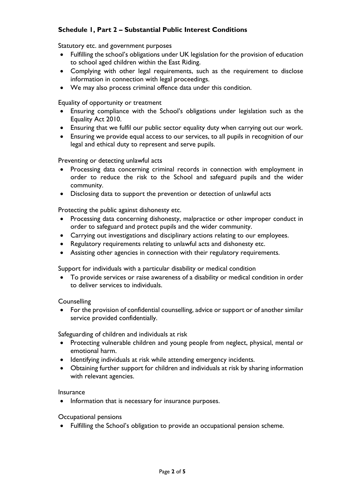## **Schedule 1, Part 2 – Substantial Public Interest Conditions**

Statutory etc. and government purposes

- Fulfilling the school's obligations under UK legislation for the provision of education to school aged children within the East Riding.
- Complying with other legal requirements, such as the requirement to disclose information in connection with legal proceedings.
- We may also process criminal offence data under this condition.

Equality of opportunity or treatment

- Ensuring compliance with the School's obligations under legislation such as the Equality Act 2010.
- Ensuring that we fulfil our public sector equality duty when carrying out our work.
- Ensuring we provide equal access to our services, to all pupils in recognition of our legal and ethical duty to represent and serve pupils.

Preventing or detecting unlawful acts

- Processing data concerning criminal records in connection with employment in order to reduce the risk to the School and safeguard pupils and the wider community.
- Disclosing data to support the prevention or detection of unlawful acts

Protecting the public against dishonesty etc.

- Processing data concerning dishonesty, malpractice or other improper conduct in order to safeguard and protect pupils and the wider community.
- Carrying out investigations and disciplinary actions relating to our employees.
- Regulatory requirements relating to unlawful acts and dishonesty etc.
- Assisting other agencies in connection with their regulatory requirements.

Support for individuals with a particular disability or medical condition

 To provide services or raise awareness of a disability or medical condition in order to deliver services to individuals.

**Counselling** 

 For the provision of confidential counselling, advice or support or of another similar service provided confidentially.

Safeguarding of children and individuals at risk

- Protecting vulnerable children and young people from neglect, physical, mental or emotional harm.
- Identifying individuals at risk while attending emergency incidents.
- Obtaining further support for children and individuals at risk by sharing information with relevant agencies.

Insurance

• Information that is necessary for insurance purposes.

Occupational pensions

Fulfilling the School's obligation to provide an occupational pension scheme.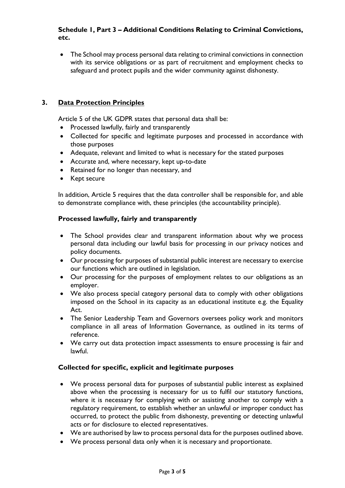## **Schedule 1, Part 3 – Additional Conditions Relating to Criminal Convictions, etc.**

 The School may process personal data relating to criminal convictions in connection with its service obligations or as part of recruitment and employment checks to safeguard and protect pupils and the wider community against dishonesty.

## **3. Data Protection Principles**

Article 5 of the UK GDPR states that personal data shall be:

- Processed lawfully, fairly and transparently
- Collected for specific and legitimate purposes and processed in accordance with those purposes
- Adequate, relevant and limited to what is necessary for the stated purposes
- Accurate and, where necessary, kept up-to-date
- Retained for no longer than necessary, and
- Kept secure

In addition, Article 5 requires that the data controller shall be responsible for, and able to demonstrate compliance with, these principles (the accountability principle).

#### **Processed lawfully, fairly and transparently**

- The School provides clear and transparent information about why we process personal data including our lawful basis for processing in our privacy notices and policy documents.
- Our processing for purposes of substantial public interest are necessary to exercise our functions which are outlined in legislation.
- Our processing for the purposes of employment relates to our obligations as an employer.
- We also process special category personal data to comply with other obligations imposed on the School in its capacity as an educational institute e.g. the Equality Act.
- The Senior Leadership Team and Governors oversees policy work and monitors compliance in all areas of Information Governance, as outlined in its terms of reference.
- We carry out data protection impact assessments to ensure processing is fair and lawful.

#### **Collected for specific, explicit and legitimate purposes**

- We process personal data for purposes of substantial public interest as explained above when the processing is necessary for us to fulfil our statutory functions, where it is necessary for complying with or assisting another to comply with a regulatory requirement, to establish whether an unlawful or improper conduct has occurred, to protect the public from dishonesty, preventing or detecting unlawful acts or for disclosure to elected representatives.
- We are authorised by law to process personal data for the purposes outlined above.
- We process personal data only when it is necessary and proportionate.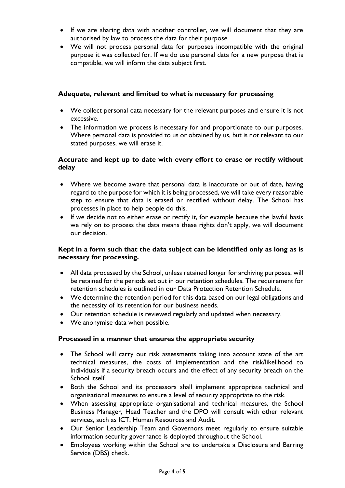- If we are sharing data with another controller, we will document that they are authorised by law to process the data for their purpose.
- We will not process personal data for purposes incompatible with the original purpose it was collected for. If we do use personal data for a new purpose that is compatible, we will inform the data subject first.

#### **Adequate, relevant and limited to what is necessary for processing**

- We collect personal data necessary for the relevant purposes and ensure it is not excessive.
- The information we process is necessary for and proportionate to our purposes. Where personal data is provided to us or obtained by us, but is not relevant to our stated purposes, we will erase it.

## **Accurate and kept up to date with every effort to erase or rectify without delay**

- Where we become aware that personal data is inaccurate or out of date, having regard to the purpose for which it is being processed, we will take every reasonable step to ensure that data is erased or rectified without delay. The School has processes in place to help people do this.
- If we decide not to either erase or rectify it, for example because the lawful basis we rely on to process the data means these rights don't apply, we will document our decision.

#### **Kept in a form such that the data subject can be identified only as long as is necessary for processing.**

- All data processed by the School, unless retained longer for archiving purposes, will be retained for the periods set out in our retention schedules. The requirement for retention schedules is outlined in our Data Protection Retention Schedule.
- We determine the retention period for this data based on our legal obligations and the necessity of its retention for our business needs.
- Our retention schedule is reviewed regularly and updated when necessary.
- We anonymise data when possible.

#### **Processed in a manner that ensures the appropriate security**

- The School will carry out risk assessments taking into account state of the art technical measures, the costs of implementation and the risk/likelihood to individuals if a security breach occurs and the effect of any security breach on the School itself.
- Both the School and its processors shall implement appropriate technical and organisational measures to ensure a level of security appropriate to the risk.
- When assessing appropriate organisational and technical measures, the School Business Manager, Head Teacher and the DPO will consult with other relevant services, such as ICT, Human Resources and Audit.
- Our Senior Leadership Team and Governors meet regularly to ensure suitable information security governance is deployed throughout the School.
- Employees working within the School are to undertake a Disclosure and Barring Service (DBS) check.